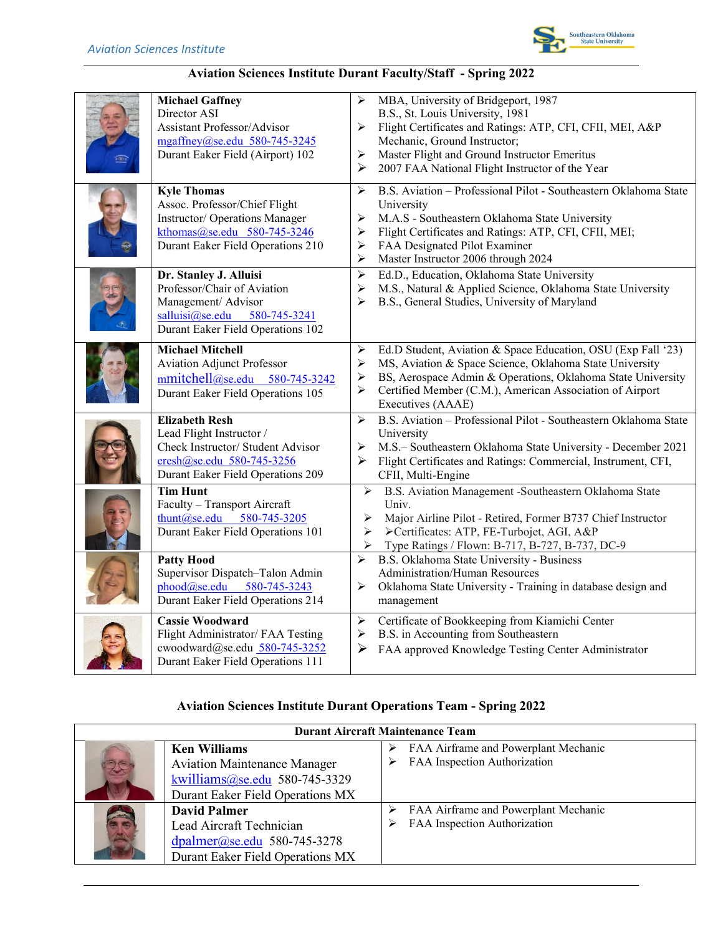

## **Aviation Sciences Institute Durant Faculty/Staff - Spring 2022**

| <b>Michael Gaffney</b><br>Director ASI<br>Assistant Professor/Advisor<br>mgaffney@se.edu 580-745-3245<br>Durant Eaker Field (Airport) 102                 | MBA, University of Bridgeport, 1987<br>⋗<br>B.S., St. Louis University, 1981<br>Flight Certificates and Ratings: ATP, CFI, CFII, MEI, A&P<br>➤<br>Mechanic, Ground Instructor;<br>Master Flight and Ground Instructor Emeritus<br>➤<br>2007 FAA National Flight Instructor of the Year<br>➤ |
|-----------------------------------------------------------------------------------------------------------------------------------------------------------|---------------------------------------------------------------------------------------------------------------------------------------------------------------------------------------------------------------------------------------------------------------------------------------------|
| <b>Kyle Thomas</b><br>Assoc. Professor/Chief Flight<br>Instructor/ Operations Manager<br>kthomas@se.edu 580-745-3246<br>Durant Eaker Field Operations 210 | B.S. Aviation - Professional Pilot - Southeastern Oklahoma State<br>➤<br>University<br>M.A.S - Southeastern Oklahoma State University<br>➤<br>Flight Certificates and Ratings: ATP, CFI, CFII, MEI;<br>➤<br>FAA Designated Pilot Examiner<br>➤<br>Master Instructor 2006 through 2024<br>➤  |
| Dr. Stanley J. Alluisi<br>Professor/Chair of Aviation<br>Management/ Advisor<br>$salluisi@se.edu$ 580-745-3241<br>Durant Eaker Field Operations 102       | Ed.D., Education, Oklahoma State University<br>➤<br>$\blacktriangleright$<br>M.S., Natural & Applied Science, Oklahoma State University<br>B.S., General Studies, University of Maryland<br>➤                                                                                               |
| <b>Michael Mitchell</b><br><b>Aviation Adjunct Professor</b><br>mmitchell@se.edu 580-745-3242<br>Durant Eaker Field Operations 105                        | Ed.D Student, Aviation & Space Education, OSU (Exp Fall '23)<br>➤<br>MS, Aviation & Space Science, Oklahoma State University<br>➤<br>BS, Aerospace Admin & Operations, Oklahoma State University<br>➤<br>Certified Member (C.M.), American Association of Airport<br>➤<br>Executives (AAAE) |
| <b>Elizabeth Resh</b><br>Lead Flight Instructor /<br>Check Instructor/ Student Advisor<br>eresh@se.edu 580-745-3256<br>Durant Eaker Field Operations 209  | B.S. Aviation - Professional Pilot - Southeastern Oklahoma State<br>$\blacktriangleright$<br>University<br>M.S.- Southeastern Oklahoma State University - December 2021<br>➤<br>Flight Certificates and Ratings: Commercial, Instrument, CFI,<br>⋗<br>CFII, Multi-Engine                    |
| <b>Tim Hunt</b><br>Faculty - Transport Aircraft<br>thunt@se.edu 580-745-3205<br>Durant Eaker Field Operations 101                                         | B.S. Aviation Management -Southeastern Oklahoma State<br>$\blacktriangleright$<br>Univ.<br>Major Airline Pilot - Retired, Former B737 Chief Instructor<br>➤<br>>Certificates: ATP, FE-Turbojet, AGI, A&P<br>➤<br>➤<br>Type Ratings / Flown: B-717, B-727, B-737, DC-9                       |
| <b>Patty Hood</b><br>Supervisor Dispatch-Talon Admin<br>phood@se.edu<br>580-745-3243<br>Durant Eaker Field Operations 214                                 | B.S. Oklahoma State University - Business<br>≻<br><b>Administration/Human Resources</b><br>Oklahoma State University - Training in database design and<br>➤<br>management                                                                                                                   |
| <b>Cassie Woodward</b><br>Flight Administrator/ FAA Testing<br>cwoodward@se.edu_580-745-3252<br>Durant Eaker Field Operations 111                         | Certificate of Bookkeeping from Kiamichi Center<br>$\blacktriangleright$<br>B.S. in Accounting from Southeastern<br>➤<br>FAA approved Knowledge Testing Center Administrator<br>➤                                                                                                           |

## **Aviation Sciences Institute Durant Operations Team - Spring 2022**

| <b>Durant Aircraft Maintenance Team</b> |                                                                                                                                 |                                                                      |  |  |
|-----------------------------------------|---------------------------------------------------------------------------------------------------------------------------------|----------------------------------------------------------------------|--|--|
|                                         | <b>Ken Williams</b><br><b>Aviation Maintenance Manager</b><br>kwilliams@se.edu 580-745-3329<br>Durant Eaker Field Operations MX | FAA Airframe and Powerplant Mechanic<br>FAA Inspection Authorization |  |  |
|                                         | <b>David Palmer</b><br>Lead Aircraft Technician<br>$dpalmer@se.edu 580-745-3278$<br>Durant Eaker Field Operations MX            | FAA Airframe and Powerplant Mechanic<br>FAA Inspection Authorization |  |  |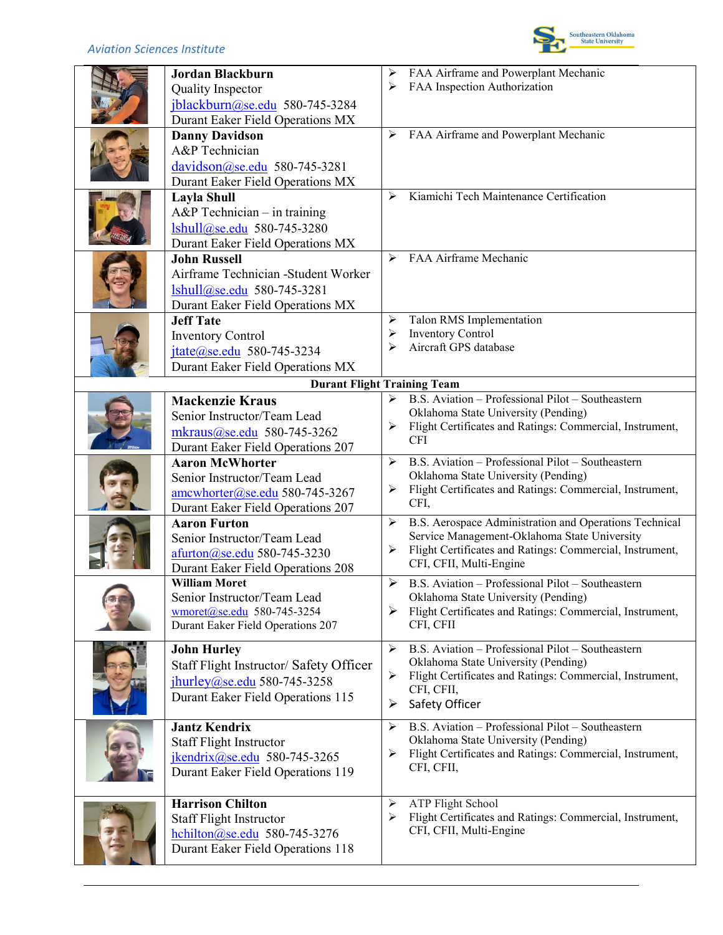| <b>Jordan Blackburn</b><br>Quality Inspector<br>jblackburn@se.edu 580-745-3284<br>Durant Eaker Field Operations MX                                                       | ➤<br>➤      | FAA Airframe and Powerplant Mechanic<br>FAA Inspection Authorization                                                                                                                          |
|--------------------------------------------------------------------------------------------------------------------------------------------------------------------------|-------------|-----------------------------------------------------------------------------------------------------------------------------------------------------------------------------------------------|
| <b>Danny Davidson</b><br>A&P Technician<br>davidson@se.edu 580-745-3281<br>Durant Eaker Field Operations MX                                                              | ➤           | FAA Airframe and Powerplant Mechanic                                                                                                                                                          |
| <b>Layla Shull</b><br>$A\&P$ Technician – in training<br>lshull@se.edu 580-745-3280<br>Durant Eaker Field Operations MX                                                  | ➤           | Kiamichi Tech Maintenance Certification                                                                                                                                                       |
| <b>John Russell</b><br>Airframe Technician -Student Worker<br>$\frac{1 \text{shull}(a) \text{se.edu}}{1 \text{se.edu}}$ 580-745-3281<br>Durant Eaker Field Operations MX | ⋗           | FAA Airframe Mechanic                                                                                                                                                                         |
| <b>Jeff Tate</b><br><b>Inventory Control</b><br>jtate@se.edu 580-745-3234<br>Durant Eaker Field Operations MX                                                            | ➤<br>➤<br>⋗ | Talon RMS Implementation<br><b>Inventory Control</b><br>Aircraft GPS database                                                                                                                 |
| <b>Durant Flight Training Team</b>                                                                                                                                       |             |                                                                                                                                                                                               |
| <b>Mackenzie Kraus</b><br>Senior Instructor/Team Lead<br>mkraus@se.edu 580-745-3262<br>Durant Eaker Field Operations 207                                                 | ➤<br>➤      | B.S. Aviation - Professional Pilot - Southeastern<br>Oklahoma State University (Pending)<br>Flight Certificates and Ratings: Commercial, Instrument,<br><b>CFI</b>                            |
| <b>Aaron McWhorter</b><br>Senior Instructor/Team Lead<br>amcwhorter@se.edu 580-745-3267<br>Durant Eaker Field Operations 207                                             | ≻<br>➤      | B.S. Aviation - Professional Pilot - Southeastern<br>Oklahoma State University (Pending)<br>Flight Certificates and Ratings: Commercial, Instrument,<br>CFI,                                  |
| <b>Aaron Furton</b><br>Senior Instructor/Team Lead<br>afurton@se.edu 580-745-3230<br><b>Durant Eaker Field Operations 208</b>                                            | ➤<br>➤      | B.S. Aerospace Administration and Operations Technical<br>Service Management-Oklahoma State University<br>Flight Certificates and Ratings: Commercial, Instrument,<br>CFI, CFII, Multi-Engine |
| <b>William Moret</b><br>Senior Instructor/Team Lead<br>wmoret@se.edu 580-745-3254<br>Durant Eaker Field Operations 207                                                   | ➤<br>➤      | B.S. Aviation - Professional Pilot - Southeastern<br>Oklahoma State University (Pending)<br>Flight Certificates and Ratings: Commercial, Instrument,<br>CFI, CFII                             |
| <b>John Hurley</b><br>Staff Flight Instructor/ Safety Officer<br>jhurley@se.edu 580-745-3258<br>Durant Eaker Field Operations 115                                        | ➤<br>➤<br>➤ | B.S. Aviation - Professional Pilot - Southeastern<br>Oklahoma State University (Pending)<br>Flight Certificates and Ratings: Commercial, Instrument,<br>CFI, CFII,<br>Safety Officer          |
| <b>Jantz Kendrix</b><br><b>Staff Flight Instructor</b><br>jkendrix@se.edu 580-745-3265<br>Durant Eaker Field Operations 119                                              | ➤<br>➤      | B.S. Aviation - Professional Pilot - Southeastern<br>Oklahoma State University (Pending)<br>Flight Certificates and Ratings: Commercial, Instrument,<br>CFI, CFII,                            |
| <b>Harrison Chilton</b><br><b>Staff Flight Instructor</b><br>hchilton@se.edu 580-745-3276<br>Durant Eaker Field Operations 118                                           | ➤<br>➤      | <b>ATP Flight School</b><br>Flight Certificates and Ratings: Commercial, Instrument,<br>CFI, CFII, Multi-Engine                                                                               |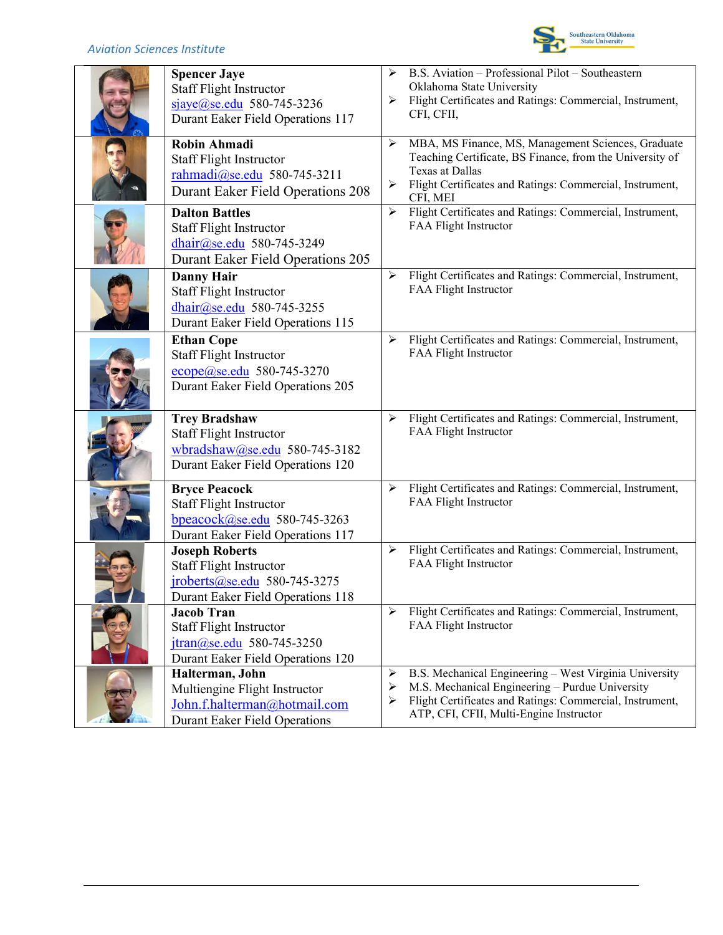

| <b>Spencer Jaye</b><br><b>Staff Flight Instructor</b><br>sjaye@se.edu 580-745-3236<br>Durant Eaker Field Operations 117                 | ➤<br>➤                | B.S. Aviation - Professional Pilot - Southeastern<br>Oklahoma State University<br>Flight Certificates and Ratings: Commercial, Instrument,<br>CFI, CFII,                                                         |
|-----------------------------------------------------------------------------------------------------------------------------------------|-----------------------|------------------------------------------------------------------------------------------------------------------------------------------------------------------------------------------------------------------|
| <b>Robin Ahmadi</b><br><b>Staff Flight Instructor</b><br>rahmadi@se.edu 580-745-3211<br><b>Durant Eaker Field Operations 208</b>        | ➤<br>➤                | MBA, MS Finance, MS, Management Sciences, Graduate<br>Teaching Certificate, BS Finance, from the University of<br>Texas at Dallas<br>Flight Certificates and Ratings: Commercial, Instrument,<br>CFI, MEI        |
| <b>Dalton Battles</b><br><b>Staff Flight Instructor</b><br>dhair@se.edu 580-745-3249<br>Durant Eaker Field Operations 205               | ➤                     | Flight Certificates and Ratings: Commercial, Instrument,<br>FAA Flight Instructor                                                                                                                                |
| <b>Danny Hair</b><br><b>Staff Flight Instructor</b><br>dhair@se.edu 580-745-3255<br>Durant Eaker Field Operations 115                   | ➤                     | Flight Certificates and Ratings: Commercial, Instrument,<br>FAA Flight Instructor                                                                                                                                |
| <b>Ethan Cope</b><br><b>Staff Flight Instructor</b><br>ecope@se.edu 580-745-3270<br>Durant Eaker Field Operations 205                   | ➤                     | Flight Certificates and Ratings: Commercial, Instrument,<br>FAA Flight Instructor                                                                                                                                |
| <b>Trey Bradshaw</b><br><b>Staff Flight Instructor</b><br>wbradshaw@se.edu 580-745-3182<br>Durant Eaker Field Operations 120            | ➤                     | Flight Certificates and Ratings: Commercial, Instrument,<br>FAA Flight Instructor                                                                                                                                |
| <b>Bryce Peacock</b><br><b>Staff Flight Instructor</b><br>bpeacock@se.edu 580-745-3263<br>Durant Eaker Field Operations 117             | ➤                     | Flight Certificates and Ratings: Commercial, Instrument,<br>FAA Flight Instructor                                                                                                                                |
| <b>Joseph Roberts</b><br><b>Staff Flight Instructor</b><br>jroberts@se.edu 580-745-3275<br>Durant Eaker Field Operations 118            | $\blacktriangleright$ | Flight Certificates and Ratings: Commercial, Instrument,<br>FAA Flight Instructor                                                                                                                                |
| <b>Jacob Tran</b><br><b>Staff Flight Instructor</b><br>$\frac{\text{itran}(a)$ se.edu 580-745-3250<br>Durant Eaker Field Operations 120 | ≻                     | Flight Certificates and Ratings: Commercial, Instrument,<br>FAA Flight Instructor                                                                                                                                |
| Halterman, John<br>Multiengine Flight Instructor<br>John.f.halterman@hotmail.com<br><b>Durant Eaker Field Operations</b>                | ➤<br>➤<br>➤           | B.S. Mechanical Engineering - West Virginia University<br>M.S. Mechanical Engineering - Purdue University<br>Flight Certificates and Ratings: Commercial, Instrument,<br>ATP, CFI, CFII, Multi-Engine Instructor |